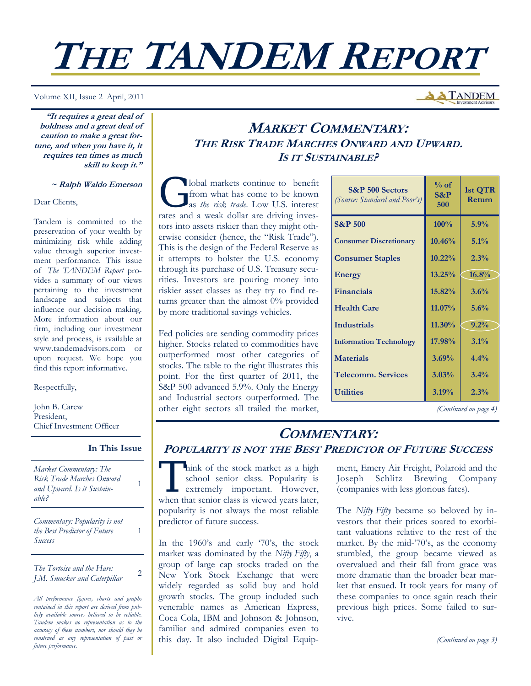# **THE TANDEM REPORT**

Volume XII, Issue 2 April, 2011

**"It requires a great deal of boldness and a great deal of caution to make a great fortune, and when you have it, it requires ten times as much skill to keep it."** 

#### **~ Ralph Waldo Emerson**

Dear Clients,

Tandem is committed to the preservation of your wealth by minimizing risk while adding value through superior investment performance. This issue of *The TANDEM Report* provides a summary of our views pertaining to the investment landscape and subjects that influence our decision making. More information about our firm, including our investment style and process, is available at www.tandemadvisors.com or upon request. We hope you find this report informative.

#### Respectfully,

John B. Carew President, Chief Investment Officer

#### **In This Issue**

1

1

*Market Commentary: The Risk Trade Marches Onward and Upward. Is it Sustainable?* 

*Commentary: Popularity is not the Best Predictor of Future Success* 

*The Tortoise and the Hare: J.M. Smucker and Caterpillar* <sup>2</sup>

## **MARKET COMMENTARY: THE RISK TRADE MARCHES ONWARD AND UPWARD. IS IT SUSTAINABLE?**

Iobal markets continue to benefit<br>from what has come to be known<br>as *the risk trade*. Low U.S. interest from what has come to be known as *the risk trade*. Low U.S. interest rates and a weak dollar are driving investors into assets riskier than they might otherwise consider (hence, the "Risk Trade"). This is the design of the Federal Reserve as it attempts to bolster the U.S. economy through its purchase of U.S. Treasury securities. Investors are pouring money into riskier asset classes as they try to find returns greater than the almost 0% provided by more traditional savings vehicles.

Fed policies are sending commodity prices higher. Stocks related to commodities have outperformed most other categories of stocks. The table to the right illustrates this point. For the first quarter of 2011, the S&P 500 advanced 5.9%. Only the Energy and Industrial sectors outperformed. The other eight sectors all trailed the market, *(Continued on page 4)* 

| <b>S&amp;P</b> 500 Sectors<br>(Source: Standard and Poor's) | $\%$ of<br>$S\&P$<br>500 | 1st QTR<br><b>Return</b> |
|-------------------------------------------------------------|--------------------------|--------------------------|
| <b>S&amp;P 500</b>                                          | 100%                     | 5.9%                     |
| <b>Consumer Discretionary</b>                               | 10.46%                   | 5.1%                     |
| <b>Consumer Staples</b>                                     | 10.22%                   | 2.3%                     |
| <b>Energy</b>                                               | 13.25%                   | 16.8%                    |
| <b>Financials</b>                                           | 15.82%                   | 3.6%                     |
| <b>Health Care</b>                                          | $11.07\%$                | 5.6%                     |
| <b>Industrials</b>                                          | $11.30\%$                | 9.2%                     |
| <b>Information Technology</b>                               | 17.98%                   | 3.1%                     |
| <b>Materials</b>                                            | 3.69%                    | 4.4%                     |
| Telecomm. Services                                          | 3.03%                    | 3.4%                     |
| <b>Utilities</b>                                            | 3.19%                    | 2.3%                     |

**A TANDEM** 

## **COMMENTARY: POPULARITY IS NOT THE BEST PREDICTOR OF FUTURE SUCCESS**

Think of the stock market as a high<br>school senior class. Popularity is<br>extremely important. However, school senior class. Popularity is extremely important. However, when that senior class is viewed years later, popularity is not always the most reliable predictor of future success.

In the 1960's and early '70's, the stock market was dominated by the *Nifty Fifty*, a group of large cap stocks traded on the New York Stock Exchange that were widely regarded as solid buy and hold growth stocks. The group included such venerable names as American Express, Coca Cola, IBM and Johnson & Johnson, familiar and admired companies even to this day. It also included Digital Equipment, Emery Air Freight, Polaroid and the Joseph Schlitz Brewing Company (companies with less glorious fates).

The *Nifty Fifty* became so beloved by investors that their prices soared to exorbitant valuations relative to the rest of the market. By the mid-'70's, as the economy stumbled, the group became viewed as overvalued and their fall from grace was more dramatic than the broader bear market that ensued. It took years for many of these companies to once again reach their previous high prices. Some failed to survive.

*(Continued on page 3)* 

*All performance figures, charts and graphs contained in this report are derived from publicly available sources believed to be reliable. Tandem makes no representation as to the accuracy of these numbers, nor should they be construed as any representation of past or future performance.*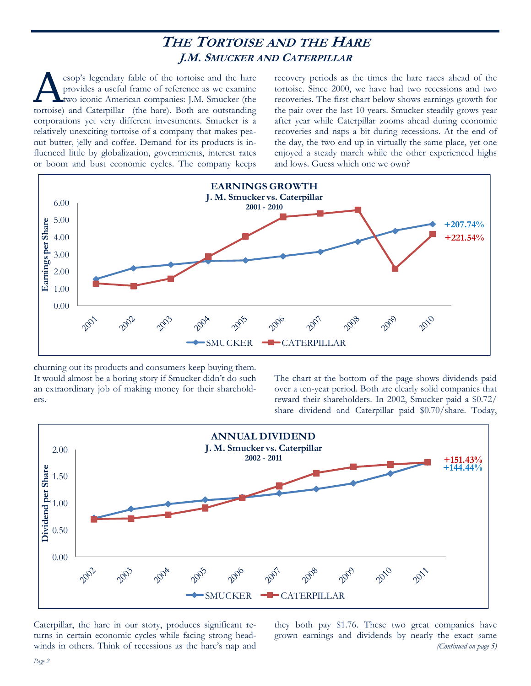# **THE TORTOISE AND THE HARE J.M. SMUCKER AND CATERPILLAR**

esop's legendary fable of the tortoise and the hare provides a useful frame of reference as we examine two iconic American companies: J.M. Smucker (the tortoise) and Caterpillar (the hare). Both are outstanding corporations yet very different investments. Smucker is a relatively unexciting tortoise of a company that makes peanut butter, jelly and coffee. Demand for its products is influenced little by globalization, governments, interest rates or boom and bust economic cycles. The company keeps

recovery periods as the times the hare races ahead of the tortoise. Since 2000, we have had two recessions and two recoveries. The first chart below shows earnings growth for the pair over the last 10 years. Smucker steadily grows year after year while Caterpillar zooms ahead during economic recoveries and naps a bit during recessions. At the end of the day, the two end up in virtually the same place, yet one enjoyed a steady march while the other experienced highs and lows. Guess which one we own?



churning out its products and consumers keep buying them. It would almost be a boring story if Smucker didn't do such an extraordinary job of making money for their shareholders.

The chart at the bottom of the page shows dividends paid over a ten-year period. Both are clearly solid companies that reward their shareholders. In 2002, Smucker paid a \$0.72/ share dividend and Caterpillar paid \$0.70/share. Today,



Caterpillar, the hare in our story, produces significant returns in certain economic cycles while facing strong headwinds in others. Think of recessions as the hare's nap and they both pay \$1.76. These two great companies have grown earnings and dividends by nearly the exact same *(Continued on page 5)*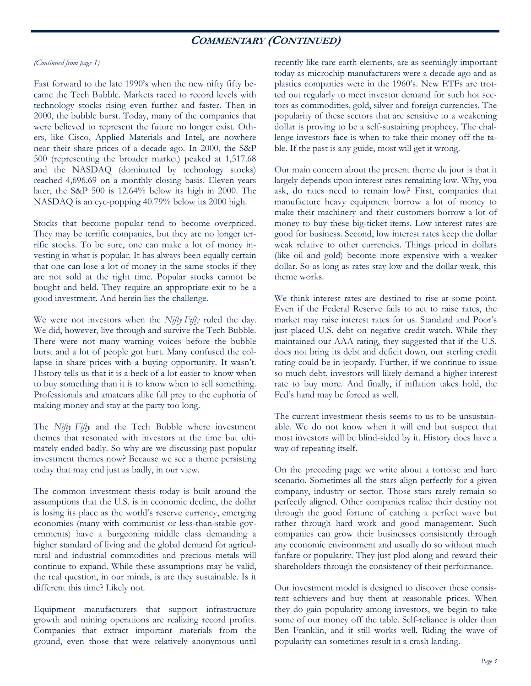## **COMMENTARY (CONTINUED)**

#### *(Continued from page 1)*

Fast forward to the late 1990's when the new nifty fifty became the Tech Bubble. Markets raced to record levels with technology stocks rising even further and faster. Then in 2000, the bubble burst. Today, many of the companies that were believed to represent the future no longer exist. Others, like Cisco, Applied Materials and Intel, are nowhere near their share prices of a decade ago. In 2000, the S&P 500 (representing the broader market) peaked at 1,517.68 and the NASDAQ (dominated by technology stocks) reached 4,696.69 on a monthly closing basis. Eleven years later, the S&P 500 is 12.64% below its high in 2000. The NASDAQ is an eye-popping 40.79% below its 2000 high.

Stocks that become popular tend to become overpriced. They may be terrific companies, but they are no longer terrific stocks. To be sure, one can make a lot of money investing in what is popular. It has always been equally certain that one can lose a lot of money in the same stocks if they are not sold at the right time. Popular stocks cannot be bought and held. They require an appropriate exit to be a good investment. And herein lies the challenge.

We were not investors when the *Nifty Fifty* ruled the day. We did, however, live through and survive the Tech Bubble. There were not many warning voices before the bubble burst and a lot of people got hurt. Many confused the collapse in share prices with a buying opportunity. It wasn't. History tells us that it is a heck of a lot easier to know when to buy something than it is to know when to sell something. Professionals and amateurs alike fall prey to the euphoria of making money and stay at the party too long.

The *Nifty Fifty* and the Tech Bubble where investment themes that resonated with investors at the time but ultimately ended badly. So why are we discussing past popular investment themes now? Because we see a theme persisting today that may end just as badly, in our view.

The common investment thesis today is built around the assumptions that the U.S. is in economic decline, the dollar is losing its place as the world's reserve currency, emerging economies (many with communist or less-than-stable governments) have a burgeoning middle class demanding a higher standard of living and the global demand for agricultural and industrial commodities and precious metals will continue to expand. While these assumptions may be valid, the real question, in our minds, is are they sustainable. Is it different this time? Likely not.

Equipment manufacturers that support infrastructure growth and mining operations are realizing record profits. Companies that extract important materials from the ground, even those that were relatively anonymous until recently like rare earth elements, are as seemingly important today as microchip manufacturers were a decade ago and as plastics companies were in the 1960's. New ETFs are trotted out regularly to meet investor demand for such hot sectors as commodities, gold, silver and foreign currencies. The popularity of these sectors that are sensitive to a weakening dollar is proving to be a self-sustaining prophecy. The challenge investors face is when to take their money off the table. If the past is any guide, most will get it wrong.

Our main concern about the present theme du jour is that it largely depends upon interest rates remaining low. Why, you ask, do rates need to remain low? First, companies that manufacture heavy equipment borrow a lot of money to make their machinery and their customers borrow a lot of money to buy these big-ticket items. Low interest rates are good for business. Second, low interest rates keep the dollar weak relative to other currencies. Things priced in dollars (like oil and gold) become more expensive with a weaker dollar. So as long as rates stay low and the dollar weak, this theme works.

We think interest rates are destined to rise at some point. Even if the Federal Reserve fails to act to raise rates, the market may raise interest rates for us. Standard and Poor's just placed U.S. debt on negative credit watch. While they maintained our AAA rating, they suggested that if the U.S. does not bring its debt and deficit down, our sterling credit rating could be in jeopardy. Further, if we continue to issue so much debt, investors will likely demand a higher interest rate to buy more. And finally, if inflation takes hold, the Fed's hand may be forced as well.

The current investment thesis seems to us to be unsustainable. We do not know when it will end but suspect that most investors will be blind-sided by it. History does have a way of repeating itself.

On the preceding page we write about a tortoise and hare scenario. Sometimes all the stars align perfectly for a given company, industry or sector. Those stars rarely remain so perfectly aligned. Other companies realize their destiny not through the good fortune of catching a perfect wave but rather through hard work and good management. Such companies can grow their businesses consistently through any economic environment and usually do so without much fanfare or popularity. They just plod along and reward their shareholders through the consistency of their performance.

Our investment model is designed to discover these consistent achievers and buy them at reasonable prices. When they do gain popularity among investors, we begin to take some of our money off the table. Self-reliance is older than Ben Franklin, and it still works well. Riding the wave of popularity can sometimes result in a crash landing.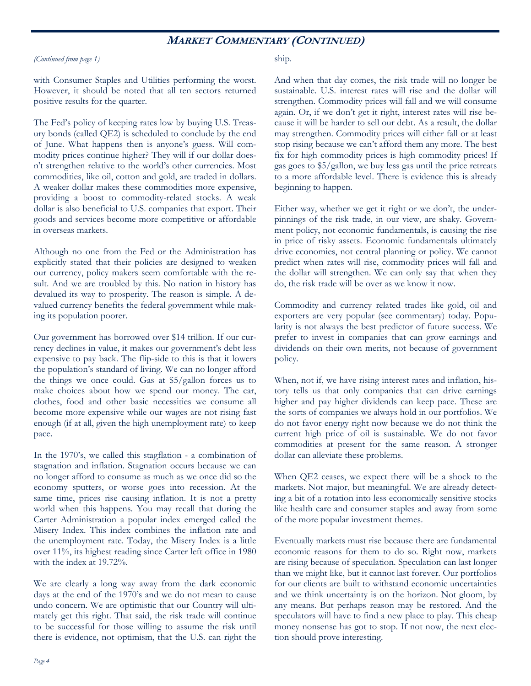### **MARKET COMMENTARY (CONTINUED)**

#### *(Continued from page 1)*

with Consumer Staples and Utilities performing the worst. However, it should be noted that all ten sectors returned positive results for the quarter.

The Fed's policy of keeping rates low by buying U.S. Treasury bonds (called QE2) is scheduled to conclude by the end of June. What happens then is anyone's guess. Will commodity prices continue higher? They will if our dollar doesn't strengthen relative to the world's other currencies. Most commodities, like oil, cotton and gold, are traded in dollars. A weaker dollar makes these commodities more expensive, providing a boost to commodity-related stocks. A weak dollar is also beneficial to U.S. companies that export. Their goods and services become more competitive or affordable in overseas markets.

Although no one from the Fed or the Administration has explicitly stated that their policies are designed to weaken our currency, policy makers seem comfortable with the result. And we are troubled by this. No nation in history has devalued its way to prosperity. The reason is simple. A devalued currency benefits the federal government while making its population poorer.

Our government has borrowed over \$14 trillion. If our currency declines in value, it makes our government's debt less expensive to pay back. The flip-side to this is that it lowers the population's standard of living. We can no longer afford the things we once could. Gas at \$5/gallon forces us to make choices about how we spend our money. The car, clothes, food and other basic necessities we consume all become more expensive while our wages are not rising fast enough (if at all, given the high unemployment rate) to keep pace.

In the 1970's, we called this stagflation - a combination of stagnation and inflation. Stagnation occurs because we can no longer afford to consume as much as we once did so the economy sputters, or worse goes into recession. At the same time, prices rise causing inflation. It is not a pretty world when this happens. You may recall that during the Carter Administration a popular index emerged called the Misery Index. This index combines the inflation rate and the unemployment rate. Today, the Misery Index is a little over 11%, its highest reading since Carter left office in 1980 with the index at 19.72%.

We are clearly a long way away from the dark economic days at the end of the 1970's and we do not mean to cause undo concern. We are optimistic that our Country will ultimately get this right. That said, the risk trade will continue to be successful for those willing to assume the risk until there is evidence, not optimism, that the U.S. can right the

#### ship.

And when that day comes, the risk trade will no longer be sustainable. U.S. interest rates will rise and the dollar will strengthen. Commodity prices will fall and we will consume again. Or, if we don't get it right, interest rates will rise because it will be harder to sell our debt. As a result, the dollar may strengthen. Commodity prices will either fall or at least stop rising because we can't afford them any more. The best fix for high commodity prices is high commodity prices! If gas goes to \$5/gallon, we buy less gas until the price retreats to a more affordable level. There is evidence this is already beginning to happen.

Either way, whether we get it right or we don't, the underpinnings of the risk trade, in our view, are shaky. Government policy, not economic fundamentals, is causing the rise in price of risky assets. Economic fundamentals ultimately drive economies, not central planning or policy. We cannot predict when rates will rise, commodity prices will fall and the dollar will strengthen. We can only say that when they do, the risk trade will be over as we know it now.

Commodity and currency related trades like gold, oil and exporters are very popular (see commentary) today. Popularity is not always the best predictor of future success. We prefer to invest in companies that can grow earnings and dividends on their own merits, not because of government policy.

When, not if, we have rising interest rates and inflation, history tells us that only companies that can drive earnings higher and pay higher dividends can keep pace. These are the sorts of companies we always hold in our portfolios. We do not favor energy right now because we do not think the current high price of oil is sustainable. We do not favor commodities at present for the same reason. A stronger dollar can alleviate these problems.

When QE2 ceases, we expect there will be a shock to the markets. Not major, but meaningful. We are already detecting a bit of a rotation into less economically sensitive stocks like health care and consumer staples and away from some of the more popular investment themes.

Eventually markets must rise because there are fundamental economic reasons for them to do so. Right now, markets are rising because of speculation. Speculation can last longer than we might like, but it cannot last forever. Our portfolios for our clients are built to withstand economic uncertainties and we think uncertainty is on the horizon. Not gloom, by any means. But perhaps reason may be restored. And the speculators will have to find a new place to play. This cheap money nonsense has got to stop. If not now, the next election should prove interesting.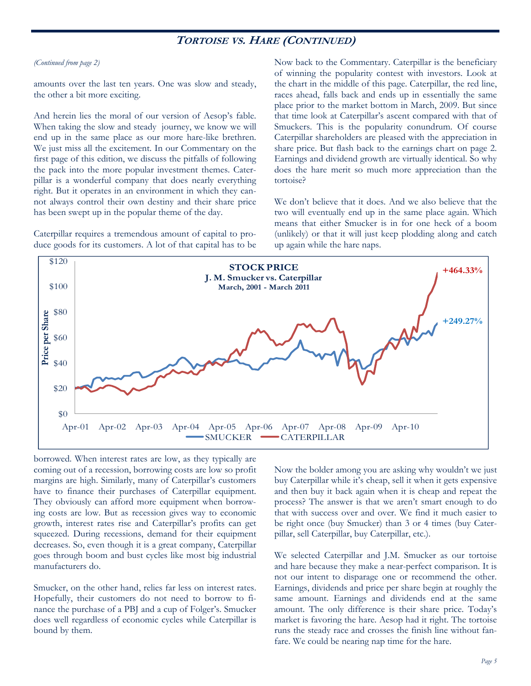## **TORTOISE VS. HARE (CONTINUED)**

#### *(Continued from page 2)*

amounts over the last ten years. One was slow and steady, the other a bit more exciting.

And herein lies the moral of our version of Aesop's fable. When taking the slow and steady journey, we know we will end up in the same place as our more hare-like brethren. We just miss all the excitement. In our Commentary on the first page of this edition, we discuss the pitfalls of following the pack into the more popular investment themes. Caterpillar is a wonderful company that does nearly everything right. But it operates in an environment in which they cannot always control their own destiny and their share price has been swept up in the popular theme of the day.

Caterpillar requires a tremendous amount of capital to produce goods for its customers. A lot of that capital has to be Now back to the Commentary. Caterpillar is the beneficiary of winning the popularity contest with investors. Look at the chart in the middle of this page. Caterpillar, the red line, races ahead, falls back and ends up in essentially the same place prior to the market bottom in March, 2009. But since that time look at Caterpillar's ascent compared with that of Smuckers. This is the popularity conundrum. Of course Caterpillar shareholders are pleased with the appreciation in share price. But flash back to the earnings chart on page 2. Earnings and dividend growth are virtually identical. So why does the hare merit so much more appreciation than the tortoise?

We don't believe that it does. And we also believe that the two will eventually end up in the same place again. Which means that either Smucker is in for one heck of a boom (unlikely) or that it will just keep plodding along and catch up again while the hare naps.



borrowed. When interest rates are low, as they typically are coming out of a recession, borrowing costs are low so profit margins are high. Similarly, many of Caterpillar's customers have to finance their purchases of Caterpillar equipment. They obviously can afford more equipment when borrowing costs are low. But as recession gives way to economic growth, interest rates rise and Caterpillar's profits can get squeezed. During recessions, demand for their equipment decreases. So, even though it is a great company, Caterpillar goes through boom and bust cycles like most big industrial manufacturers do.

Smucker, on the other hand, relies far less on interest rates. Hopefully, their customers do not need to borrow to finance the purchase of a PBJ and a cup of Folger's. Smucker does well regardless of economic cycles while Caterpillar is bound by them.

Now the bolder among you are asking why wouldn't we just buy Caterpillar while it's cheap, sell it when it gets expensive and then buy it back again when it is cheap and repeat the process? The answer is that we aren't smart enough to do that with success over and over. We find it much easier to be right once (buy Smucker) than 3 or 4 times (buy Caterpillar, sell Caterpillar, buy Caterpillar, etc.).

We selected Caterpillar and J.M. Smucker as our tortoise and hare because they make a near-perfect comparison. It is not our intent to disparage one or recommend the other. Earnings, dividends and price per share begin at roughly the same amount. Earnings and dividends end at the same amount. The only difference is their share price. Today's market is favoring the hare. Aesop had it right. The tortoise runs the steady race and crosses the finish line without fanfare. We could be nearing nap time for the hare.